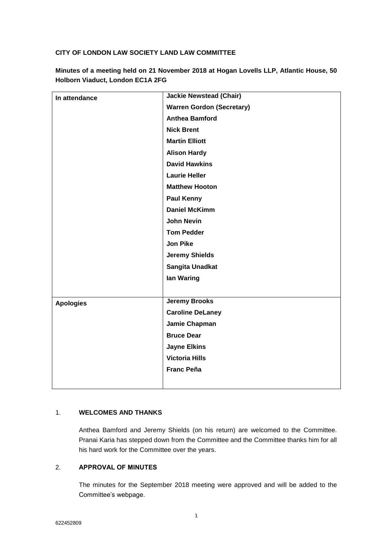## **CITY OF LONDON LAW SOCIETY LAND LAW COMMITTEE**

| In attendance    | <b>Jackie Newstead (Chair)</b>   |
|------------------|----------------------------------|
|                  | <b>Warren Gordon (Secretary)</b> |
|                  | <b>Anthea Bamford</b>            |
|                  | <b>Nick Brent</b>                |
|                  | <b>Martin Elliott</b>            |
|                  | <b>Alison Hardy</b>              |
|                  | <b>David Hawkins</b>             |
|                  | <b>Laurie Heller</b>             |
|                  | <b>Matthew Hooton</b>            |
|                  | <b>Paul Kenny</b>                |
|                  | <b>Daniel McKimm</b>             |
|                  | <b>John Nevin</b>                |
|                  | <b>Tom Pedder</b>                |
|                  | <b>Jon Pike</b>                  |
|                  | <b>Jeremy Shields</b>            |
|                  | Sangita Unadkat                  |
|                  | lan Waring                       |
|                  |                                  |
| <b>Apologies</b> | <b>Jeremy Brooks</b>             |
|                  | <b>Caroline DeLaney</b>          |
|                  | Jamie Chapman                    |
|                  | <b>Bruce Dear</b>                |
|                  | <b>Jayne Elkins</b>              |
|                  | <b>Victoria Hills</b>            |
|                  | <b>Franc Peña</b>                |
|                  |                                  |

**Minutes of a meeting held on 21 November 2018 at Hogan Lovells LLP, Atlantic House, 50 Holborn Viaduct, London EC1A 2FG**

#### 1. **WELCOMES AND THANKS**

Anthea Bamford and Jeremy Shields (on his return) are welcomed to the Committee. Pranai Karia has stepped down from the Committee and the Committee thanks him for all his hard work for the Committee over the years.

# 2. **APPROVAL OF MINUTES**

The minutes for the September 2018 meeting were approved and will be added to the Committee's webpage.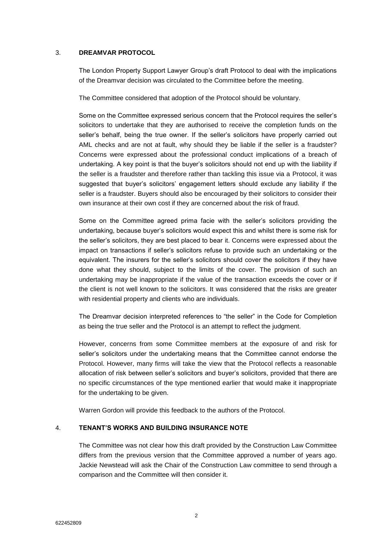#### 3. **DREAMVAR PROTOCOL**

The London Property Support Lawyer Group's draft Protocol to deal with the implications of the Dreamvar decision was circulated to the Committee before the meeting.

The Committee considered that adoption of the Protocol should be voluntary.

Some on the Committee expressed serious concern that the Protocol requires the seller's solicitors to undertake that they are authorised to receive the completion funds on the seller's behalf, being the true owner. If the seller's solicitors have properly carried out AML checks and are not at fault, why should they be liable if the seller is a fraudster? Concerns were expressed about the professional conduct implications of a breach of undertaking. A key point is that the buyer's solicitors should not end up with the liability if the seller is a fraudster and therefore rather than tackling this issue via a Protocol, it was suggested that buyer's solicitors' engagement letters should exclude any liability if the seller is a fraudster. Buyers should also be encouraged by their solicitors to consider their own insurance at their own cost if they are concerned about the risk of fraud.

Some on the Committee agreed prima facie with the seller's solicitors providing the undertaking, because buyer's solicitors would expect this and whilst there is some risk for the seller's solicitors, they are best placed to bear it. Concerns were expressed about the impact on transactions if seller's solicitors refuse to provide such an undertaking or the equivalent. The insurers for the seller's solicitors should cover the solicitors if they have done what they should, subject to the limits of the cover. The provision of such an undertaking may be inappropriate if the value of the transaction exceeds the cover or if the client is not well known to the solicitors. It was considered that the risks are greater with residential property and clients who are individuals.

The Dreamvar decision interpreted references to "the seller" in the Code for Completion as being the true seller and the Protocol is an attempt to reflect the judgment.

However, concerns from some Committee members at the exposure of and risk for seller's solicitors under the undertaking means that the Committee cannot endorse the Protocol. However, many firms will take the view that the Protocol reflects a reasonable allocation of risk between seller's solicitors and buyer's solicitors, provided that there are no specific circumstances of the type mentioned earlier that would make it inappropriate for the undertaking to be given.

Warren Gordon will provide this feedback to the authors of the Protocol.

#### 4. **TENANT'S WORKS AND BUILDING INSURANCE NOTE**

The Committee was not clear how this draft provided by the Construction Law Committee differs from the previous version that the Committee approved a number of years ago. Jackie Newstead will ask the Chair of the Construction Law committee to send through a comparison and the Committee will then consider it.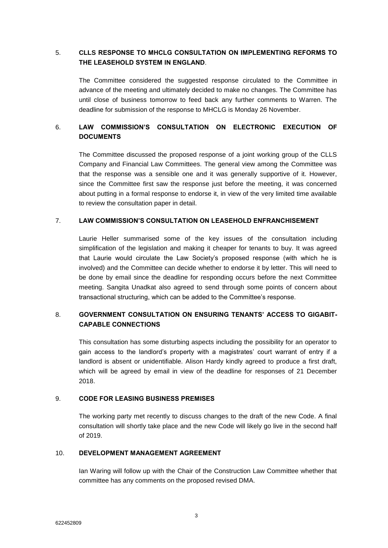# 5. **CLLS RESPONSE TO MHCLG CONSULTATION ON IMPLEMENTING REFORMS TO THE LEASEHOLD SYSTEM IN ENGLAND**.

The Committee considered the suggested response circulated to the Committee in advance of the meeting and ultimately decided to make no changes. The Committee has until close of business tomorrow to feed back any further comments to Warren. The deadline for submission of the response to MHCLG is Monday 26 November.

# 6. **LAW COMMISSION'S CONSULTATION ON ELECTRONIC EXECUTION OF DOCUMENTS**

The Committee discussed the proposed response of a joint working group of the CLLS Company and Financial Law Committees. The general view among the Committee was that the response was a sensible one and it was generally supportive of it. However, since the Committee first saw the response just before the meeting, it was concerned about putting in a formal response to endorse it, in view of the very limited time available to review the consultation paper in detail.

#### 7. **LAW COMMISSION'S CONSULTATION ON LEASEHOLD ENFRANCHISEMENT**

Laurie Heller summarised some of the key issues of the consultation including simplification of the legislation and making it cheaper for tenants to buy. It was agreed that Laurie would circulate the Law Society's proposed response (with which he is involved) and the Committee can decide whether to endorse it by letter. This will need to be done by email since the deadline for responding occurs before the next Committee meeting. Sangita Unadkat also agreed to send through some points of concern about transactional structuring, which can be added to the Committee's response.

# 8. **GOVERNMENT CONSULTATION ON ENSURING TENANTS' ACCESS TO GIGABIT-CAPABLE CONNECTIONS**

This consultation has some disturbing aspects including the possibility for an operator to gain access to the landlord's property with a magistrates' court warrant of entry if a landlord is absent or unidentifiable. Alison Hardy kindly agreed to produce a first draft, which will be agreed by email in view of the deadline for responses of 21 December 2018.

#### 9. **CODE FOR LEASING BUSINESS PREMISES**

The working party met recently to discuss changes to the draft of the new Code. A final consultation will shortly take place and the new Code will likely go live in the second half of 2019.

#### 10. **DEVELOPMENT MANAGEMENT AGREEMENT**

Ian Waring will follow up with the Chair of the Construction Law Committee whether that committee has any comments on the proposed revised DMA.